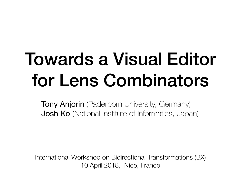#### Towards a Visual Editor for Lens Combinators

**Tony Anjorin** (Paderborn University, Germany) **Josh Ko** (National Institute of Informatics, Japan)

International Workshop on Bidirectional Transformations (BX) 10 April 2018, Nice, France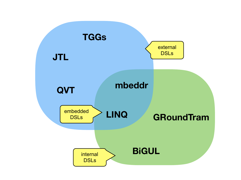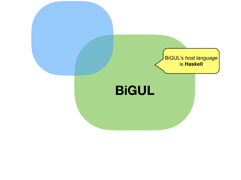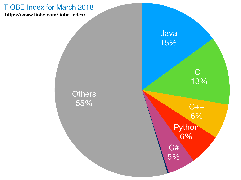#### TIOBE Index for March 2018

**https://www.tiobe.com/tiobe-index/**

**Others** 55%

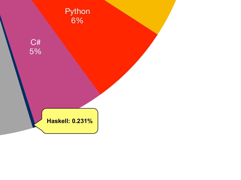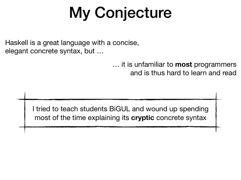#### My Conjecture

Haskell is a great language with a concise, elegant concrete syntax, but …

> … it is unfamiliar to **most** programmers and is thus hard to learn and read

I tried to teach students BiGUL and wound up spending most of the time explaining its **cryptic** concrete syntax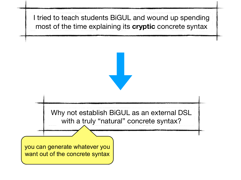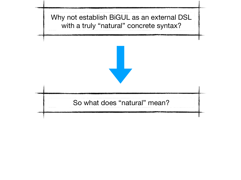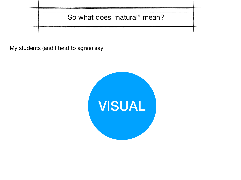

My students (and I tend to agree) say:

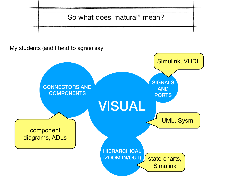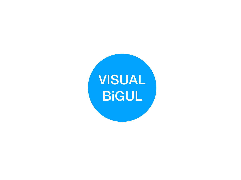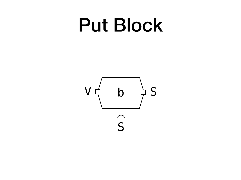#### Put Block

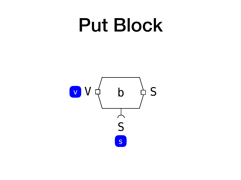#### Put Block

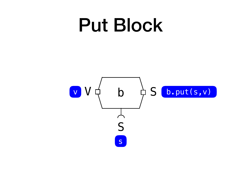#### Put Block

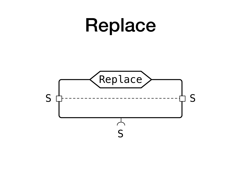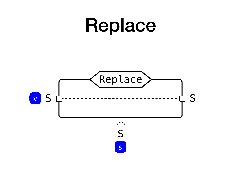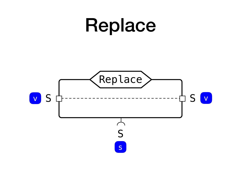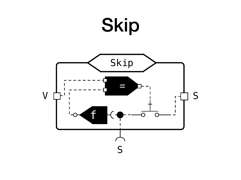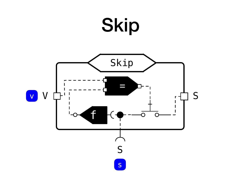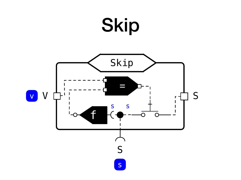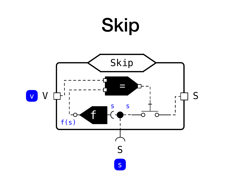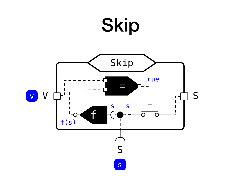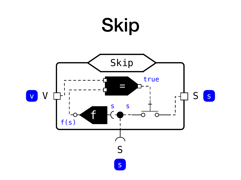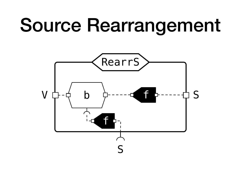#### Source Rearrangement

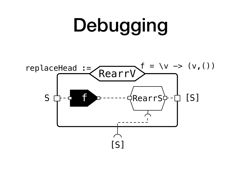# Debugging [S] S RearrV  $f \rightarrow ----$ QRearrS $\nvdash$ - $\Box$  [S] replaceHead :=  $\int_{\mathbb{R}} f = \sqrt{v}$  ->  $(v, ()$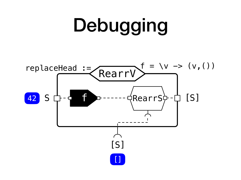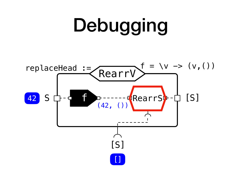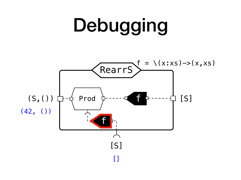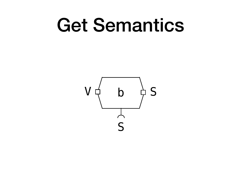#### Get Semantics

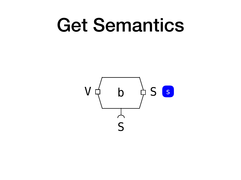#### Get Semantics

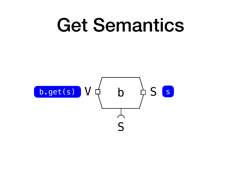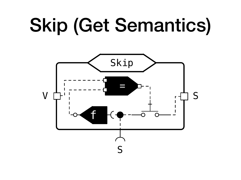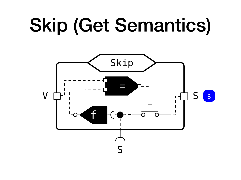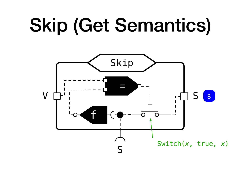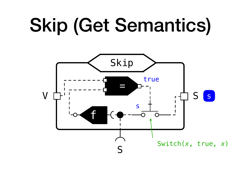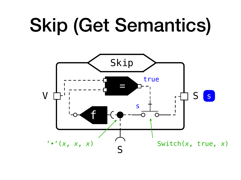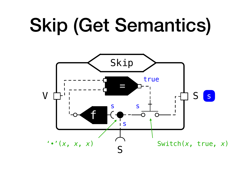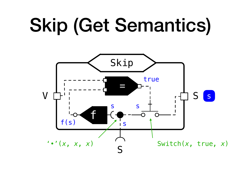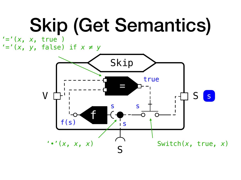$' = ' (x, x, true)$ '='(*x*, *y*, false) if *x* ≠ *y*

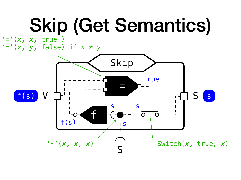$' = ' (x, x,$  true ) '='(*x*, *y*, false) if *x* ≠ *y*

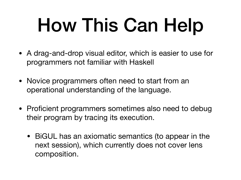## How This Can Help

- A drag-and-drop visual editor, which is easier to use for programmers not familiar with Haskell
- Novice programmers often need to start from an operational understanding of the language.
- Proficient programmers sometimes also need to debug their program by tracing its execution.
	- BiGUL has an axiomatic semantics (to appear in the next session), which currently does not cover lens composition.